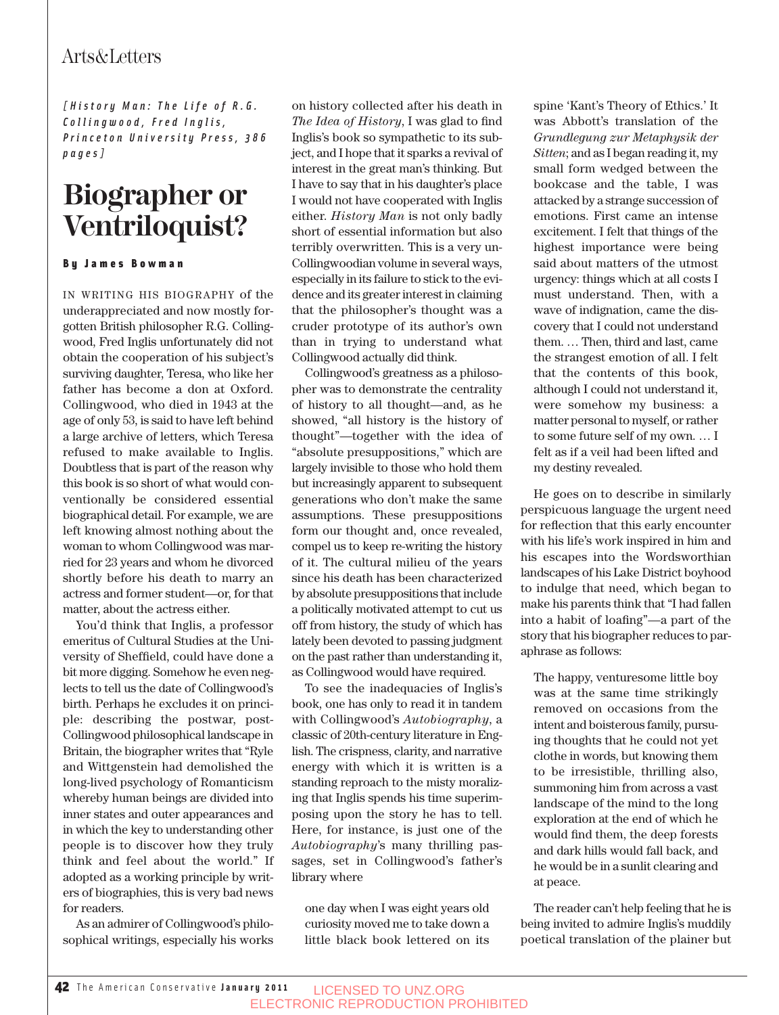### Arts&Letters

*[History Man: The Life of R.G. Collingwood, Fred Inglis, Princeton University Press, 386 pages]*

# **Biographer or Ventriloquist?**

### By James Bowman

IN WRITING HIS BIOGRAPHY of the underappreciated and now mostly forgotten British philosopher R.G. Collingwood, Fred Inglis unfortunately did not obtain the cooperation of his subject's surviving daughter, Teresa, who like her father has become a don at Oxford. Collingwood, who died in 1943 at the age of only 53, is said to have left behind a large archive of letters, which Teresa refused to make available to Inglis. Doubtless that is part of the reason why this book is so short of what would conventionally be considered essential biographical detail. For example, we are left knowing almost nothing about the woman to whom Collingwood was married for 23 years and whom he divorced shortly before his death to marry an actress and former student—or, for that matter, about the actress either.

You'd think that Inglis, a professor emeritus of Cultural Studies at the University of Sheffield, could have done a bit more digging. Somehow he even neglects to tell us the date of Collingwood's birth. Perhaps he excludes it on principle: describing the postwar, post-Collingwood philosophical landscape in Britain, the biographer writes that "Ryle and Wittgenstein had demolished the long-lived psychology of Romanticism whereby human beings are divided into inner states and outer appearances and in which the key to understanding other people is to discover how they truly think and feel about the world." If adopted as a working principle by writers of biographies, this is very bad news for readers.

As an admirer of Collingwood's philosophical writings, especially his works

on history collected after his death in *The Idea of History*, I was glad to find Inglis's book so sympathetic to its subject, and I hope that it sparks a revival of interest in the great man's thinking. But I have to say that in his daughter's place I would not have cooperated with Inglis either. *History Man* is not only badly short of essential information but also terribly overwritten. This is a very un-Collingwoodian volume in several ways, especially in its failure to stick to the evidence and its greater interest in claiming that the philosopher's thought was a cruder prototype of its author's own than in trying to understand what Collingwood actually did think.

Collingwood's greatness as a philosopher was to demonstrate the centrality of history to all thought—and, as he showed, "all history is the history of thought"—together with the idea of "absolute presuppositions," which are largely invisible to those who hold them but increasingly apparent to subsequent generations who don't make the same assumptions. These presuppositions form our thought and, once revealed, compel us to keep re-writing the history of it. The cultural milieu of the years since his death has been characterized by absolute presuppositions that include a politically motivated attempt to cut us off from history, the study of which has lately been devoted to passing judgment on the past rather than understanding it, as Collingwood would have required.

To see the inadequacies of Inglis's book, one has only to read it in tandem with Collingwood's *Autobiography*, a classic of 20th-century literature in English. The crispness, clarity, and narrative energy with which it is written is a standing reproach to the misty moralizing that Inglis spends his time superimposing upon the story he has to tell. Here, for instance, is just one of the *Autobiography*'s many thrilling passages, set in Collingwood's father's library where

one day when I was eight years old curiosity moved me to take down a little black book lettered on its spine 'Kant's Theory of Ethics.' It was Abbott's translation of the *Grundlegung zur Metaphysik der Sitten*; and as I began reading it, my small form wedged between the bookcase and the table, I was attacked by a strange succession of emotions. First came an intense excitement. I felt that things of the highest importance were being said about matters of the utmost urgency: things which at all costs I must understand. Then, with a wave of indignation, came the discovery that I could not understand them. … Then, third and last, came the strangest emotion of all. I felt that the contents of this book, although I could not understand it, were somehow my business: a matter personal to myself, or rather to some future self of my own. … I felt as if a veil had been lifted and my destiny revealed.

He goes on to describe in similarly perspicuous language the urgent need for reflection that this early encounter with his life's work inspired in him and his escapes into the Wordsworthian landscapes of his Lake District boyhood to indulge that need, which began to make his parents think that "I had fallen into a habit of loafing"—a part of the story that his biographer reduces to paraphrase as follows:

The happy, venturesome little boy was at the same time strikingly removed on occasions from the intent and boisterous family, pursuing thoughts that he could not yet clothe in words, but knowing them to be irresistible, thrilling also, summoning him from across a vast landscape of the mind to the long exploration at the end of which he would find them, the deep forests and dark hills would fall back, and he would be in a sunlit clearing and at peace.

The reader can't help feeling that he is being invited to admire Inglis's muddily poetical translation of the plainer but